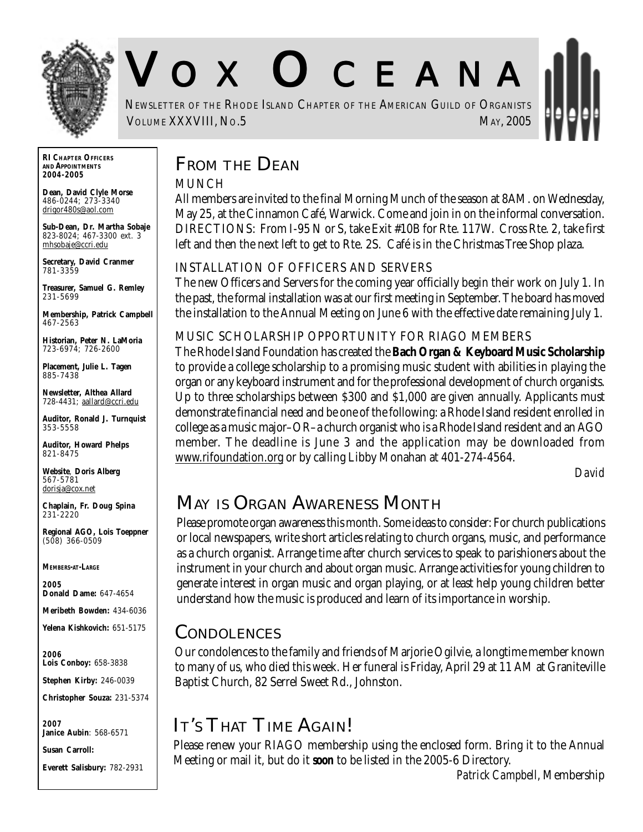

# V O X O CEANA

NEWSLETTER OF THE RHODE ISLAND CHAPTER OF THE AMERICAN GUILD OF ORGANISTS **VOLUME XXXVIII, NO.5** MAY, 2005

**RI CHAPTER OFFICERS AND APPOINTMENTS** *2004-2005*

**Dean, David Clyle Morse** 486-0244; 273-3340 drigor480s@aol.com

**Sub-Dean, Dr. Martha Sobaje** 823-8024; 467-3300 ext. 3 mhsobaje@ccri.edu

**Secretary, David Cranmer** 781-3359

**Treasurer, Samuel G. Remley** 231-5699

**Membership, Patrick Campbell** 467-2563

**Historian, Peter N. LaMoria** 723-6974; 726-2600

**Placement, Julie L. Tagen** 885-7438

**Newsletter, Althea Allard** 728-4431; aallard@ccri.edu

**Auditor, Ronald J. Turnquist** 353-5558

**Auditor, Howard Phelps** 821-8475

**Website**, **Doris Alberg** 567-5781 dorisja@cox.net

**Chaplain, Fr. Doug Spina** 231-2220

**Regional AGO, Lois Toeppner** (508) 366-0509

#### *MEMBERS-AT-LARGE*

*2005* **Donald Dame:** 647-4654

**Meribeth Bowden:** 434-6036

**Yelena Kishkovich:** 651-5175

*2006* **Lois Conboy:** 658-3838

**Stephen Kirby:** 246-0039

**Christopher Souza:** 231-5374

*2007* **Janice Aubin**: 568-6571

**Susan Carroll:**

**Everett Salisbury:** 782-2931

## **FROM THE DEAN**

#### MUNCH

All members are invited to the final Morning Munch of the season at 8AM. on Wednesday, May 25, at the Cinnamon Café, Warwick. Come and join in on the informal conversation. DIRECTIONS: From I-95 N or S, take Exit #10B for Rte. 117W. Cross Rte. 2, take first left and then the next left to get to Rte. 2S. Café is in the Christmas Tree Shop plaza.

#### INSTALLATION OF OFFICERS AND SERVERS

The new Officers and Servers for the coming year officially begin their work on July 1. In the past, the formal installation was at our first meeting in September. The board has moved the installation to the Annual Meeting on June 6 with the effective date remaining July 1.

#### MUSIC SCHOLARSHIP OPPORTUNITY FOR RIAGO MEMBERS

The Rhode Island Foundation has created the **Bach Organ & Keyboard Music Scholarship** to provide a college scholarship to a promising music student with abilities in playing the organ or any keyboard instrument and for the professional development of church organists. Up to three scholarships between \$300 and \$1,000 are given annually. Applicants must demonstrate financial need and be one of the following: a Rhode Island resident enrolled in college as a music major–OR–a church organist who is a Rhode Island resident and an AGO member. The deadline is June 3 and the application may be downloaded from www.rifoundation.org or by calling Libby Monahan at 401-274-4564.

*David*

## **MAY IS ORGAN AWARENESS MONTH**

Please promote organ awareness this month. Some ideas to consider: For church publications or local newspapers, write short articles relating to church organs, music, and performance as a church organist. Arrange time after church services to speak to parishioners about the instrument in your church and about organ music. Arrange activities for young children to generate interest in organ music and organ playing, or at least help young children better understand how the music is produced and learn of its importance in worship.

#### **CONDOLENCES**

Our condolences to the family and friends of Marjorie Ogilvie, a longtime member known to many of us, who died this week. Her funeral is Friday, April 29 at 11 AM at Graniteville Baptist Church, 82 Serrel Sweet Rd., Johnston.

# **IT'S THAT TIME AGAIN!**

Please renew your RIAGO membership using the enclosed form. Bring it to the Annual Meeting or mail it, but do it *soon* to be listed in the 2005-6 Directory.

*Patrick Campbell*, Membership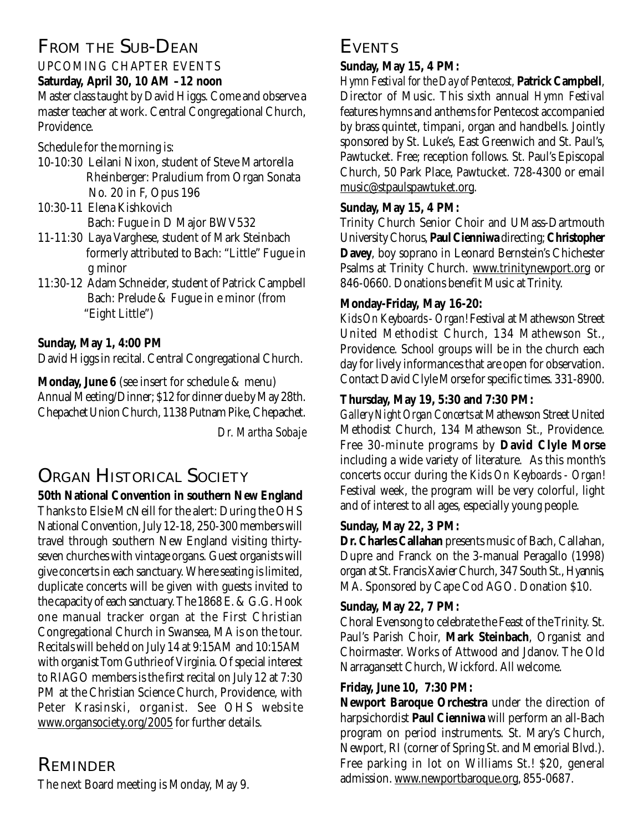# **FROM THE SUB-DEAN**

UPCOMING CHAPTER EVENTS **Saturday, April 30, 10 AM –12 noon** Master class taught by David Higgs. Come and observe a master teacher at work. Central Congregational Church, Providence.

Schedule for the morning is:

- 10-10:30 Leilani Nixon, student of Steve Martorella Rheinberger: Praludium from Organ Sonata No. 20 in F, Opus 196
- 10:30-11 Elena Kishkovich Bach: Fugue in D Major BWV532
- 11-11:30 Laya Varghese, student of Mark Steinbach formerly attributed to Bach: "Little" Fugue in g minor
- 11:30-12 Adam Schneider, student of Patrick Campbell Bach: Prelude & Fugue in e minor (from "Eight Little")

#### **Sunday, May 1, 4:00 PM**

David Higgs in recital. Central Congregational Church.

**Monday, June 6** (see insert for schedule & menu) Annual Meeting/Dinner; \$12 for dinner due by May 28th. Chepachet Union Church, 1138 Putnam Pike, Chepachet.

*Dr. Martha Sobaje*

# **ORGAN HISTORICAL SOCIETY**

**50th National Convention in southern New England** Thanks to Elsie McNeill for the alert: During the OHS National Convention, July 12-18, 250-300 members will travel through southern New England visiting thirtyseven churches with vintage organs. Guest organists will give concerts in each sanctuary. Where seating is limited, duplicate concerts will be given with guests invited to the capacity of each sanctuary. The 1868 E. & G.G. Hook one manual tracker organ at the First Christian Congregational Church in Swansea, MA is on the tour. Recitals will be held on July 14 at 9:15AM and 10:15AM with organist Tom Guthrie of Virginia. Of special interest to RIAGO members is the first recital on July 12 at 7:30 PM at the Christian Science Church, Providence, with Peter Krasinski, organist. See OHS website www.organsociety.org/2005 for further details.

## **REMINDER**

The next Board meeting is Monday, May 9.

## **EVENTS**

#### **Sunday, May 15, 4 PM:**

*Hymn Festival for the Day of Pentecost*, **Patrick Campbell**, Director of Music. This sixth annual *Hymn Festival* features hymns and anthems for Pentecost accompanied by brass quintet, timpani, organ and handbells. Jointly sponsored by St. Luke's, East Greenwich and St. Paul's, Pawtucket. Free; reception follows. St. Paul's Episcopal Church, 50 Park Place, Pawtucket. 728-4300 or email music@stpaulspawtuket.org.

#### **Sunday, May 15, 4 PM:**

Trinity Church Senior Choir and UMass-Dartmouth University Chorus, **Paul Cienniwa** directing; **Christopher Davey**, boy soprano in Leonard Bernstein's Chichester Psalms at Trinity Church. www.trinitynewport.org or 846-0660. Donations benefit Music at Trinity.

#### **Monday-Friday, May 16-20:**

*Kids On Keyboards - Organ!* Festival at Mathewson Street United Methodist Church, 134 Mathewson St., Providence. School groups will be in the church each day for lively informances that are open for observation. Contact David Clyle Morse for specific times. 331-8900.

#### **Thursday, May 19, 5:30 and 7:30 PM:**

*Gallery Night Organ Concerts* at Mathewson Street United Methodist Church, 134 Mathewson St., Providence. Free 30-minute programs by **David Clyle Morse** including a wide variety of literature. As this month's concerts occur during the *Kids On Keyboards - Organ!* Festival week, the program will be very colorful, light and of interest to all ages, especially young people.

#### **Sunday, May 22, 3 PM:**

**Dr. Charles Callahan** presents music of Bach, Callahan, Dupre and Franck on the 3-manual Peragallo (1998) organ at St. Francis Xavier Church, 347 South St., Hyannis, MA. Sponsored by Cape Cod AGO. Donation \$10.

#### **Sunday, May 22, 7 PM:**

Choral Evensong to celebrate the Feast of the Trinity. St. Paul's Parish Choir, **Mark Steinbach**, Organist and Choirmaster. Works of Attwood and Jdanov. The Old Narragansett Church, Wickford. All welcome.

#### **Friday, June 10, 7:30 PM:**

**Newport Baroque Orchestra** under the direction of harpsichordist **Paul Cienniwa** will perform an all-Bach program on period instruments. St. Mary's Church, Newport, RI (corner of Spring St. and Memorial Blvd.). Free parking in lot on Williams St.! \$20, general admission. www.newportbaroque.org, 855-0687.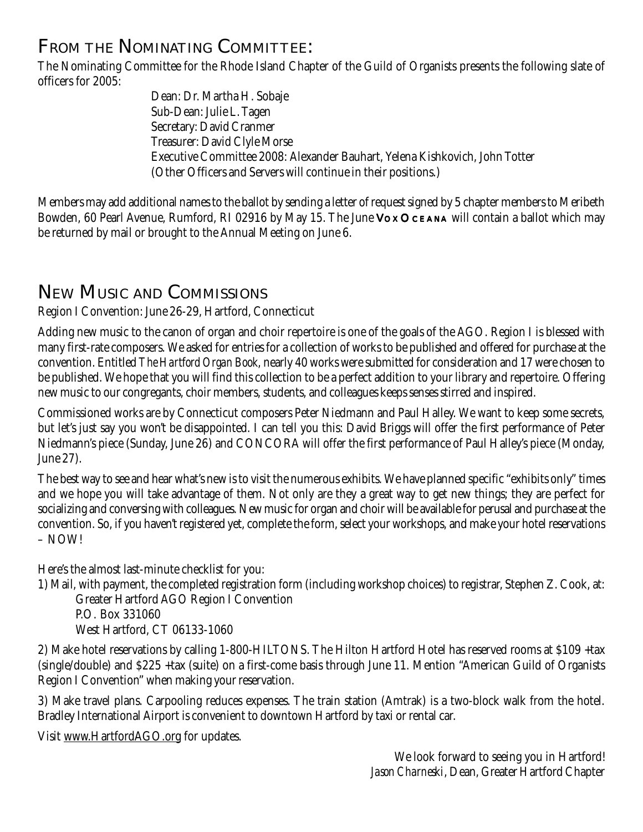# **FROM THE NOMINATING COMMITTEE:**

The Nominating Committee for the Rhode Island Chapter of the Guild of Organists presents the following slate of officers for 2005:

> Dean: Dr. Martha H. Sobaje Sub-Dean: Julie L. Tagen Secretary: David Cranmer Treasurer: David Clyle Morse Executive Committee 2008: Alexander Bauhart, Yelena Kishkovich, John Totter (Other Officers and Servers will continue in their positions.)

Members may add additional names to the ballot by sending a letter of request signed by 5 chapter members to Meribeth Bowden, 60 Pearl Avenue, Rumford, RI 02916 by May 15. The June Vox OCEANA will contain a ballot which may be returned by mail or brought to the Annual Meeting on June 6.

# **NEW MUSIC AND COMMISSIONS**

#### Region I Convention: June 26-29, Hartford, Connecticut

Adding new music to the canon of organ and choir repertoire is one of the goals of the AGO. Region I is blessed with many first-rate composers. We asked for entries for a collection of works to be published and offered for purchase at the convention. Entitled *The Hartford Organ Book*, nearly 40 works were submitted for consideration and 17 were chosen to be published. We hope that you will find this collection to be a perfect addition to your library and repertoire. Offering new music to our congregants, choir members, students, and colleagues keeps senses stirred and inspired.

Commissioned works are by Connecticut composers Peter Niedmann and Paul Halley. We want to keep some secrets, but let's just say you won't be disappointed. I can tell you this: David Briggs will offer the first performance of Peter Niedmann's piece (Sunday, June 26) and CONCORA will offer the first performance of Paul Halley's piece (Monday, June 27).

The best way to see and hear what's new is to visit the numerous exhibits. We have planned specific "exhibits only" times and we hope you will take advantage of them. Not only are they a great way to get new things; they are perfect for socializing and conversing with colleagues. New music for organ and choir will be available for perusal and purchase at the convention. So, if you haven't registered yet, complete the form, select your workshops, and make your hotel reservations – NOW!

Here's the almost last-minute checklist for you:

1) Mail, with payment, the completed registration form (including workshop choices) to registrar, Stephen Z. Cook, at:

Greater Hartford AGO Region I Convention

P.O. Box 331060 West Hartford, CT 06133-1060

2) Make hotel reservations by calling 1-800-HILTONS. The Hilton Hartford Hotel has reserved rooms at \$109 +tax (single/double) and \$225 +tax (suite) on a first-come basis through June 11. Mention "American Guild of Organists Region I Convention" when making your reservation.

3) Make travel plans. Carpooling reduces expenses. The train station (Amtrak) is a two-block walk from the hotel. Bradley International Airport is convenient to downtown Hartford by taxi or rental car.

Visit www.HartfordAGO.org for updates.